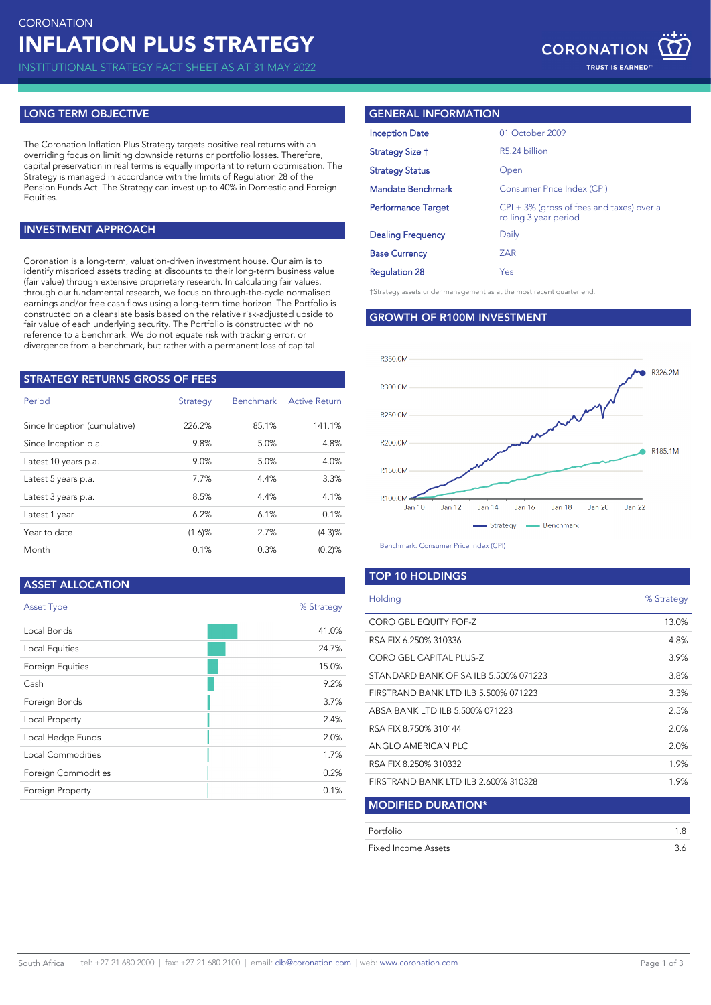INSTITUTIONAL STRATEGY FACT SHEET AS AT 31 MAY 2022

## **LONG TERM OBJECTIVE**

The Coronation Inflation Plus Strategy targets positive real returns with an overriding focus on limiting downside returns or portfolio losses. Therefore, capital preservation in real terms is equally important to return optimisation. The Strategy is managed in accordance with the limits of Regulation 28 of the Pension Funds Act. The Strategy can invest up to 40% in Domestic and Foreign Equities.

## **INVESTMENT APPROACH**

Coronation is a long-term, valuation-driven investment house. Our aim is to identify mispriced assets trading at discounts to their long-term business value (fair value) through extensive proprietary research. In calculating fair values, through our fundamental research, we focus on through-the-cycle normalised earnings and/or free cash flows using a long-term time horizon. The Portfolio is constructed on a cleanslate basis based on the relative risk-adjusted upside to fair value of each underlying security. The Portfolio is constructed with no reference to a benchmark. We do not equate risk with tracking error, or divergence from a benchmark, but rather with a permanent loss of capital.

| <b>STRATEGY RETURNS GROSS OF FEES</b> |           |                  |                      |  |  |
|---------------------------------------|-----------|------------------|----------------------|--|--|
| Period                                | Strategy  | <b>Benchmark</b> | <b>Active Return</b> |  |  |
| Since Inception (cumulative)          | 226.2%    | 85.1%            | 141.1%               |  |  |
| Since Inception p.a.                  | 9.8%      | 5.0%             | 4.8%                 |  |  |
| Latest 10 years p.a.                  | 9.0%      | 5.0%             | 4.0%                 |  |  |
| Latest 5 years p.a.                   | 7.7%      | 4.4%             | 3.3%                 |  |  |
| Latest 3 years p.a.                   | 8.5%      | 4.4%             | 4.1%                 |  |  |
| Latest 1 year                         | 6.2%      | 6.1%             | 0.1%                 |  |  |
| Year to date                          | $(1.6)$ % | 2.7%             | (4.3)%               |  |  |
| Month                                 | 0.1%      | 0.3%             | (0.2)%               |  |  |

## **ASSET ALLOCATION**

| <b>Asset Type</b>       | % Strategy |
|-------------------------|------------|
| Local Bonds             | 41.0%      |
| Local Equities          | 24.7%      |
| Foreign Equities        | 15.0%      |
| Cash                    | 9.2%       |
| Foreign Bonds           | 3.7%       |
| Local Property          | 2.4%       |
| Local Hedge Funds       | 2.0%       |
| Local Commodities       | 1.7%       |
| Foreign Commodities     | 0.2%       |
| <b>Foreign Property</b> | 0.1%       |

## **GENERAL INFORMATION**

| <b>Inception Date</b>     | 01 October 2009                                                       |
|---------------------------|-----------------------------------------------------------------------|
| Strategy Size †           | R5.24 billion                                                         |
| <b>Strategy Status</b>    | Open                                                                  |
| <b>Mandate Benchmark</b>  | Consumer Price Index (CPI)                                            |
| <b>Performance Target</b> | $CPI + 3\%$ (gross of fees and taxes) over a<br>rolling 3 year period |
| <b>Dealing Frequency</b>  | Daily                                                                 |
| <b>Base Currency</b>      | <b>ZAR</b>                                                            |
| <b>Regulation 28</b>      | Yes                                                                   |

†Strategy assets under management as at the most recent quarter end.

## **GROWTH OF R100M INVESTMENT**



Benchmark: Consumer Price Index (CPI)

## **TOP 10 HOLDINGS**

| Holding                               | % Strategy |
|---------------------------------------|------------|
| CORO GBL EQUITY FOF-Z                 | 13.0%      |
| RSA FIX 6.250% 310336                 | 4.8%       |
| CORO GBL CAPITAL PLUS-Z               | 3.9%       |
| STANDARD BANK OF SA ILB 5.500% 071223 | 3.8%       |
| FIRSTRAND BANK LTD ILB 5.500% 071223  | 3.3%       |
| ABSA BANK LTD ILB 5.500% 071223       | 2.5%       |
| RSA FIX 8.750% 310144                 | 2.0%       |
| ANGLO AMERICAN PLC                    | 2.0%       |
| RSA FIX 8.250% 310332                 | 1.9%       |
| FIRSTRAND BANK LTD ILB 2.600% 310328  | 1.9%       |
| <b>MODIFIED DURATION*</b>             |            |
| Portfolio                             | 1.8        |
| Fixed Income Assets                   | 3.6        |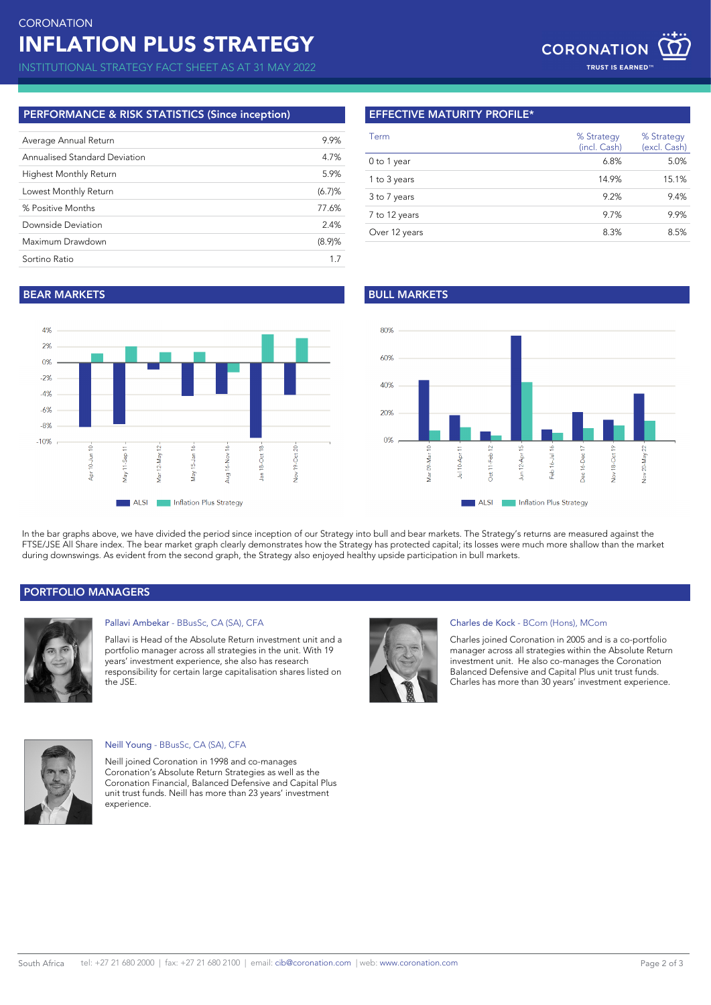INSTITUTIONAL STRATEGY FACT SHEET AS AT 31 MAY 2022

# **PERFORMANCE & RISK STATISTICS (Since inception)**

| Average Annual Return         | 9.9%   |
|-------------------------------|--------|
| Annualised Standard Deviation | 4.7%   |
| <b>Highest Monthly Return</b> | 5.9%   |
| Lowest Monthly Return         | (6.7)% |
| % Positive Months             | 77.6%  |
| Downside Deviation            | 2.4%   |
| Maximum Drawdown              | (8.9)% |
| Sortino Ratio                 | 17     |

# **EFFECTIVE MATURITY PROFILE\***

| Term          | % Strategy<br>(incl. Cash) | % Strategy<br>(excl. Cash) |
|---------------|----------------------------|----------------------------|
| 0 to 1 year   | 6.8%                       | 5.0%                       |
| 1 to 3 years  | 14.9%                      | 15.1%                      |
| 3 to 7 years  | 9.2%                       | 9.4%                       |
| 7 to 12 years | 9.7%                       | 9.9%                       |
| Over 12 years | 8.3%                       | 8.5%                       |

# **BEAR MARKETS BULL MARKETS**





In the bar graphs above, we have divided the period since inception of our Strategy into bull and bear markets. The Strategy's returns are measured against the FTSE/JSE All Share index. The bear market graph clearly demonstrates how the Strategy has protected capital; its losses were much more shallow than the market during downswings. As evident from the second graph, the Strategy also enjoyed healthy upside participation in bull markets.

# **PORTFOLIO MANAGERS**



## Pallavi Ambekar - BBusSc, CA (SA), CFA

Pallavi is Head of the Absolute Return investment unit and a portfolio manager across all strategies in the unit. With 19 years' investment experience, she also has research responsibility for certain large capitalisation shares listed on the JSE.



#### Charles de Kock - BCom (Hons), MCom

Charles joined Coronation in 2005 and is a co-portfolio manager across all strategies within the Absolute Return investment unit. He also co-manages the Coronation Balanced Defensive and Capital Plus unit trust funds. Charles has more than 30 years' investment experience.



#### Neill Young - BBusSc, CA (SA), CFA

Neill joined Coronation in 1998 and co-manages Coronation's Absolute Return Strategies as well as the Coronation Financial, Balanced Defensive and Capital Plus unit trust funds. Neill has more than 23 years' investment experience.